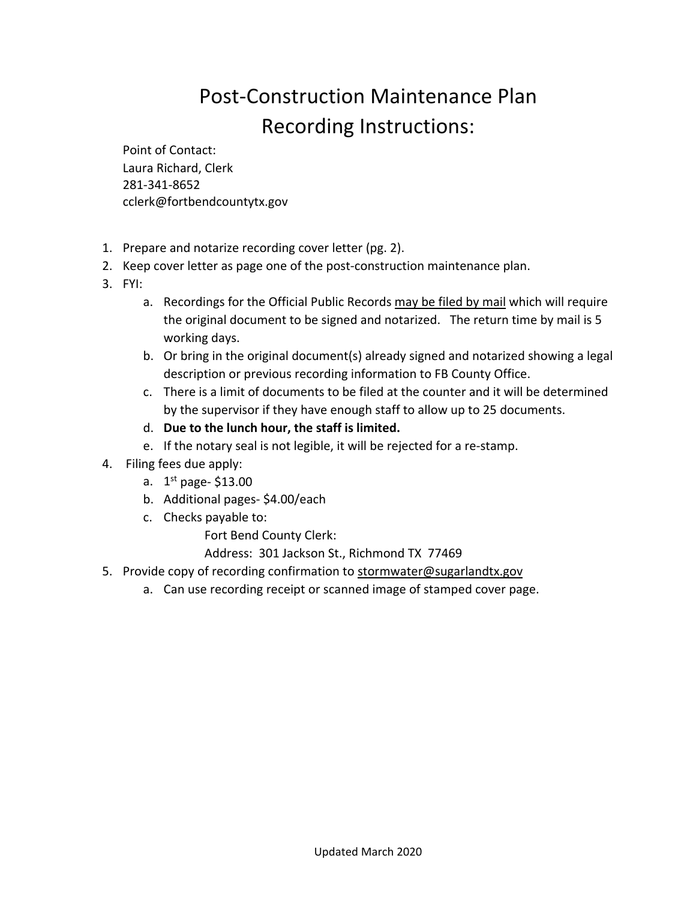## Post‐Construction Maintenance Plan Recording Instructions:

Point of Contact: Laura Richard, Clerk 281‐341‐8652 cclerk@fortbendcountytx.gov

- 1. Prepare and notarize recording cover letter (pg. 2).
- 2. Keep cover letter as page one of the post-construction maintenance plan.
- 3. FYI:
	- a. Recordings for the Official Public Records may be filed by mail which will require the original document to be signed and notarized. The return time by mail is 5 working days.
	- b. Or bring in the original document(s) already signed and notarized showing a legal description or previous recording information to FB County Office.
	- c. There is a limit of documents to be filed at the counter and it will be determined by the supervisor if they have enough staff to allow up to 25 documents.
	- d. **Due to the lunch hour, the staff is limited.**
	- e. If the notary seal is not legible, it will be rejected for a re‐stamp.
- 4. Filing fees due apply:
	- a.  $1^{st}$  page- $$13.00$
	- b. Additional pages‐ \$4.00/each
	- c. Checks payable to:

Fort Bend County Clerk:

Address: 301 Jackson St., Richmond TX 77469

- 5. Provide copy of recording confirmation to stormwater@sugarlandtx.gov
	- a. Can use recording receipt or scanned image of stamped cover page.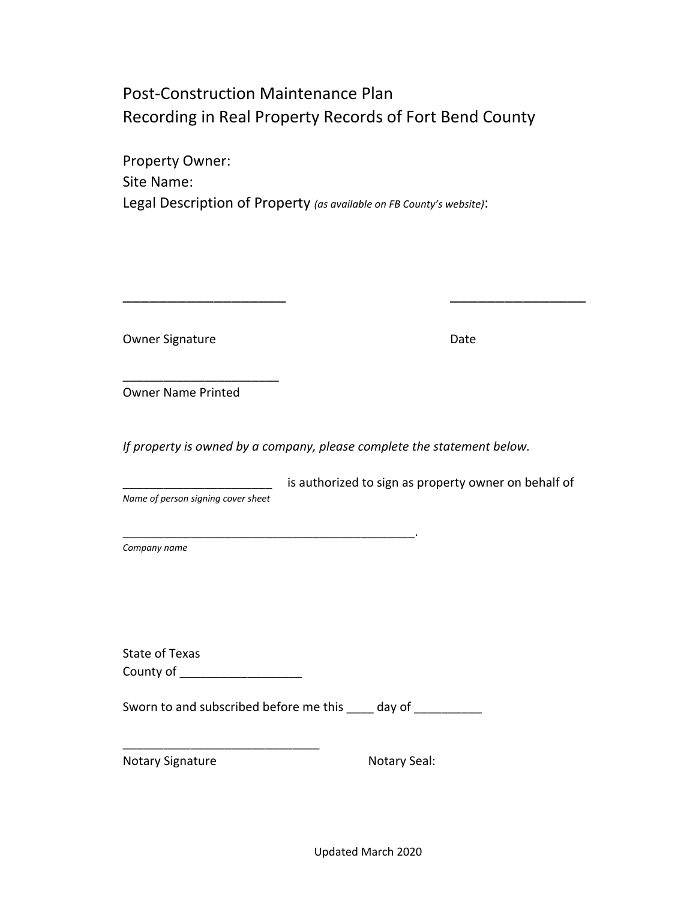### Post‐Construction Maintenance Plan Recording in Real Property Records of Fort Bend County

Property Owner: Site Name: Legal Description of Property *(as available on FB County's website)*:

Owner Signature **Date** 

Owner Name Printed

*If property is owned by a company, please complete the statement below.* 

\_\_\_\_\_\_\_\_\_\_\_\_\_\_\_\_\_\_\_\_\_\_\_

\_\_\_\_\_\_\_\_\_\_\_\_\_\_\_\_\_\_\_\_\_\_\_\_\_\_\_\_\_\_\_\_\_\_\_\_\_\_\_\_\_\_\_.

\_\_\_\_\_\_\_\_\_\_\_\_\_\_\_\_\_\_ \_\_\_\_\_\_\_\_\_\_\_\_\_\_\_

\_\_\_\_\_\_\_\_\_\_\_\_\_\_\_\_\_\_\_\_\_\_ is authorized to sign as property owner on behalf of *Name of person signing cover sheet*

*Company name*

State of Texas County of \_\_\_\_\_\_\_\_\_\_\_\_\_\_\_\_\_\_

\_\_\_\_\_\_\_\_\_\_\_\_\_\_\_\_\_\_\_\_\_\_\_\_\_\_\_\_\_

Sworn to and subscribed before me this \_\_\_\_ day of \_\_\_\_\_\_\_\_\_\_

Notary Signature **Notary Seal:** Notary Seal:

Updated March 2020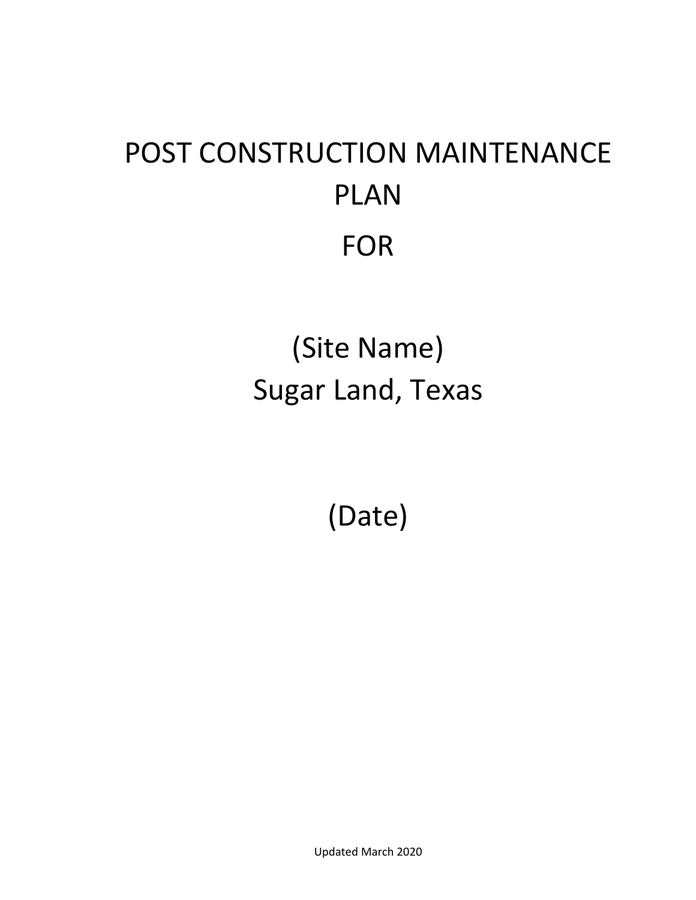# POST CONSTRUCTION MAINTENANCE PLAN FOR

(Site Name) Sugar Land, Texas

(Date)

Updated March 2020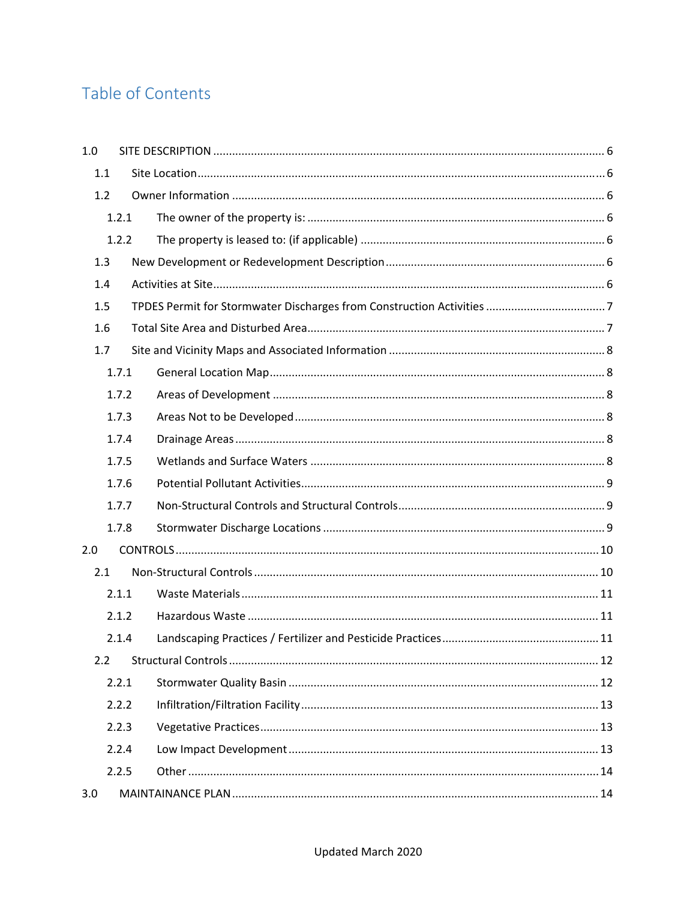### Table of Contents

| 1.0   |       |  |
|-------|-------|--|
| 1.1   |       |  |
| 1.2   |       |  |
|       | 1.2.1 |  |
| 1.2.2 |       |  |
| 1.3   |       |  |
| 1.4   |       |  |
| 1.5   |       |  |
| 1.6   |       |  |
| 1.7   |       |  |
|       | 1.7.1 |  |
|       | 1.7.2 |  |
| 1.7.3 |       |  |
| 1.7.4 |       |  |
| 1.7.5 |       |  |
| 1.7.6 |       |  |
| 1.7.7 |       |  |
|       | 1.7.8 |  |
| 2.0   |       |  |
| 2.1   |       |  |
|       | 2.1.1 |  |
| 2.1.2 |       |  |
|       | 2.1.4 |  |
| 2.2   |       |  |
|       | 2.2.1 |  |
|       | 2.2.2 |  |
|       | 2.2.3 |  |
|       | 2.2.4 |  |
|       | 2.2.5 |  |
| 3.0   |       |  |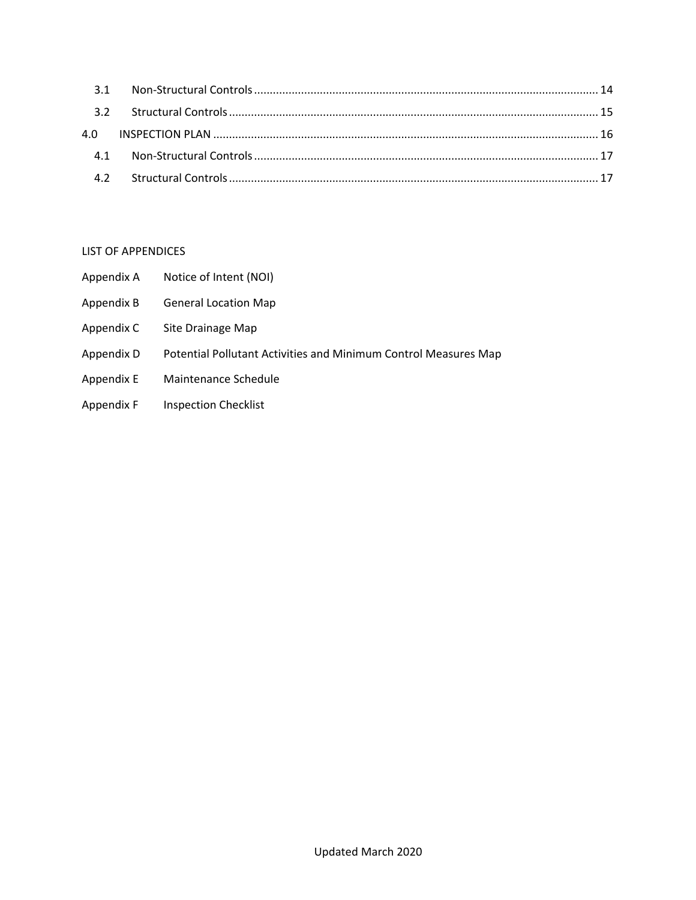### LIST OF APPENDICES

- Appendix A Notice of Intent (NOI)
- Appendix B General Location Map
- Appendix C Site Drainage Map
- Appendix D Potential Pollutant Activities and Minimum Control Measures Map
- Appendix E Maintenance Schedule
- Appendix F Inspection Checklist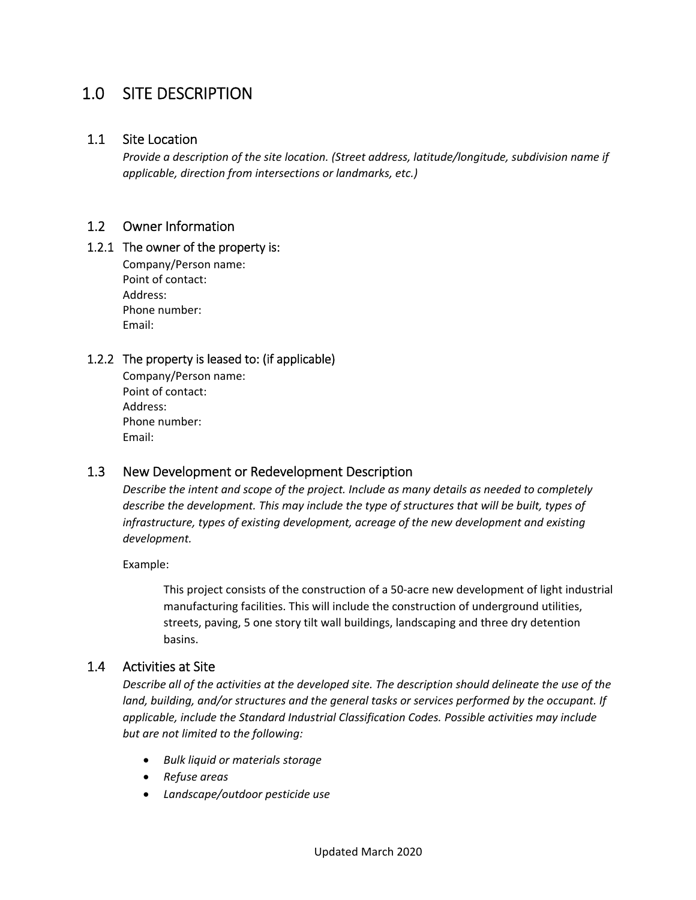### 1.0 SITE DESCRIPTION

### 1.1 Site Location

*Provide a description of the site location. (Street address, latitude/longitude, subdivision name if applicable, direction from intersections or landmarks, etc.)*

### 1.2 Owner Information

### 1.2.1 The owner of the property is:

Company/Person name: Point of contact: Address: Phone number: Email:

### 1.2.2 The property is leased to: (if applicable)

Company/Person name: Point of contact: Address: Phone number: Email:

### 1.3 New Development or Redevelopment Description

*Describe the intent and scope of the project. Include as many details as needed to completely describe the development. This may include the type of structures that will be built, types of infrastructure, types of existing development, acreage of the new development and existing development.*

Example:

This project consists of the construction of a 50‐acre new development of light industrial manufacturing facilities. This will include the construction of underground utilities, streets, paving, 5 one story tilt wall buildings, landscaping and three dry detention basins.

### 1.4 Activities at Site

*Describe all of the activities at the developed site. The description should delineate the use of the land, building, and/or structures and the general tasks or services performed by the occupant. If applicable, include the Standard Industrial Classification Codes. Possible activities may include but are not limited to the following:*

- *Bulk liquid or materials storage*
- *Refuse areas*
- *Landscape/outdoor pesticide use*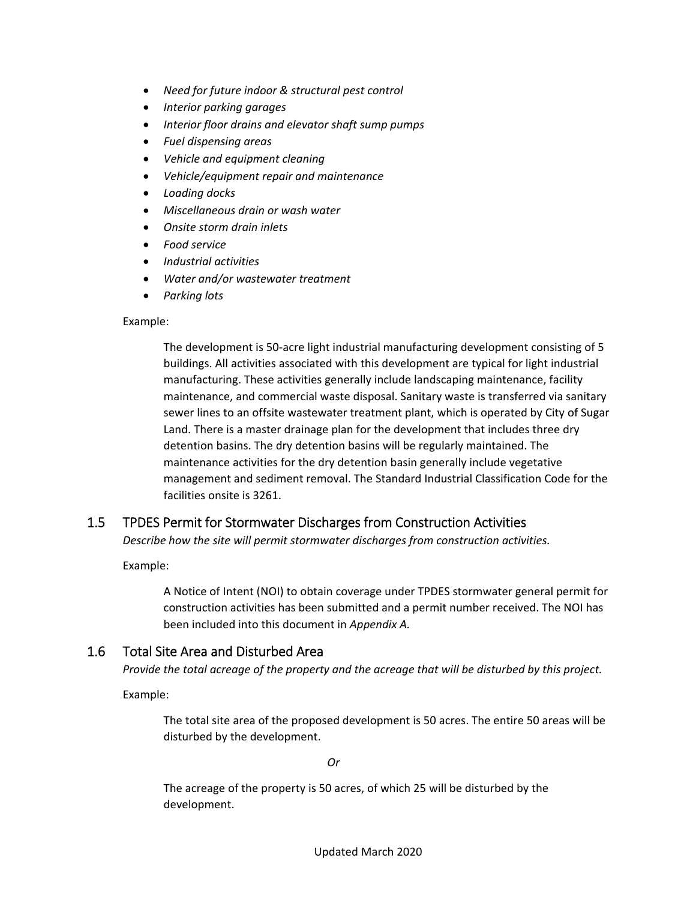- *Need for future indoor & structural pest control*
- *Interior parking garages*
- *Interior floor drains and elevator shaft sump pumps*
- *Fuel dispensing areas*
- *Vehicle and equipment cleaning*
- *Vehicle/equipment repair and maintenance*
- *Loading docks*
- *Miscellaneous drain or wash water*
- *Onsite storm drain inlets*
- *Food service*
- *Industrial activities*
- *Water and/or wastewater treatment*
- *Parking lots*

#### Example:

The development is 50‐acre light industrial manufacturing development consisting of 5 buildings. All activities associated with this development are typical for light industrial manufacturing. These activities generally include landscaping maintenance, facility maintenance, and commercial waste disposal. Sanitary waste is transferred via sanitary sewer lines to an offsite wastewater treatment plant, which is operated by City of Sugar Land. There is a master drainage plan for the development that includes three dry detention basins. The dry detention basins will be regularly maintained. The maintenance activities for the dry detention basin generally include vegetative management and sediment removal. The Standard Industrial Classification Code for the facilities onsite is 3261.

### 1.5 TPDES Permit for Stormwater Discharges from Construction Activities

*Describe how the site will permit stormwater discharges from construction activities.*

Example:

A Notice of Intent (NOI) to obtain coverage under TPDES stormwater general permit for construction activities has been submitted and a permit number received. The NOI has been included into this document in *Appendix A.*

### 1.6 Total Site Area and Disturbed Area

*Provide the total acreage of the property and the acreage that will be disturbed by this project.*

Example:

The total site area of the proposed development is 50 acres. The entire 50 areas will be disturbed by the development.

*Or*

The acreage of the property is 50 acres, of which 25 will be disturbed by the development.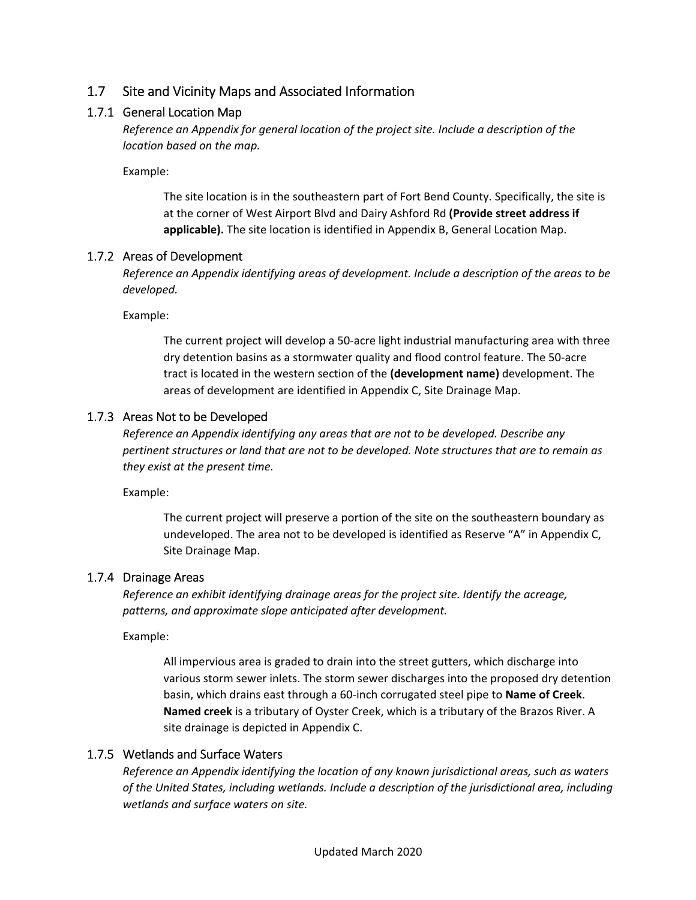### 1.7 Site and Vicinity Maps and Associated Information

### 1.7.1 General Location Map

*Reference an Appendix for general location of the project site. Include a description of the location based on the map.*

Example:

The site location is in the southeastern part of Fort Bend County. Specifically, the site is at the corner of West Airport Blvd and Dairy Ashford Rd **(Provide street address if applicable).** The site location is identified in Appendix B, General Location Map.

### 1.7.2 Areas of Development

*Reference an Appendix identifying areas of development. Include a description of the areas to be developed.*

Example:

The current project will develop a 50‐acre light industrial manufacturing area with three dry detention basins as a stormwater quality and flood control feature. The 50‐acre tract is located in the western section of the **(development name)** development. The areas of development are identified in Appendix C, Site Drainage Map.

### 1.7.3 Areas Not to be Developed

*Reference an Appendix identifying any areas that are not to be developed. Describe any pertinent structures or land that are not to be developed. Note structures that are to remain as they exist at the present time.*

Example:

The current project will preserve a portion of the site on the southeastern boundary as undeveloped. The area not to be developed is identified as Reserve "A" in Appendix C, Site Drainage Map.

### 1.7.4 Drainage Areas

*Reference an exhibit identifying drainage areas for the project site. Identify the acreage, patterns, and approximate slope anticipated after development.*

Example:

All impervious area is graded to drain into the street gutters, which discharge into various storm sewer inlets. The storm sewer discharges into the proposed dry detention basin, which drains east through a 60‐inch corrugated steel pipe to **Name of Creek**. **Named creek** is a tributary of Oyster Creek, which is a tributary of the Brazos River. A site drainage is depicted in Appendix C.

### 1.7.5 Wetlands and Surface Waters

*Reference an Appendix identifying the location of any known jurisdictional areas, such as waters of the United States, including wetlands. Include a description of the jurisdictional area, including wetlands and surface waters on site.*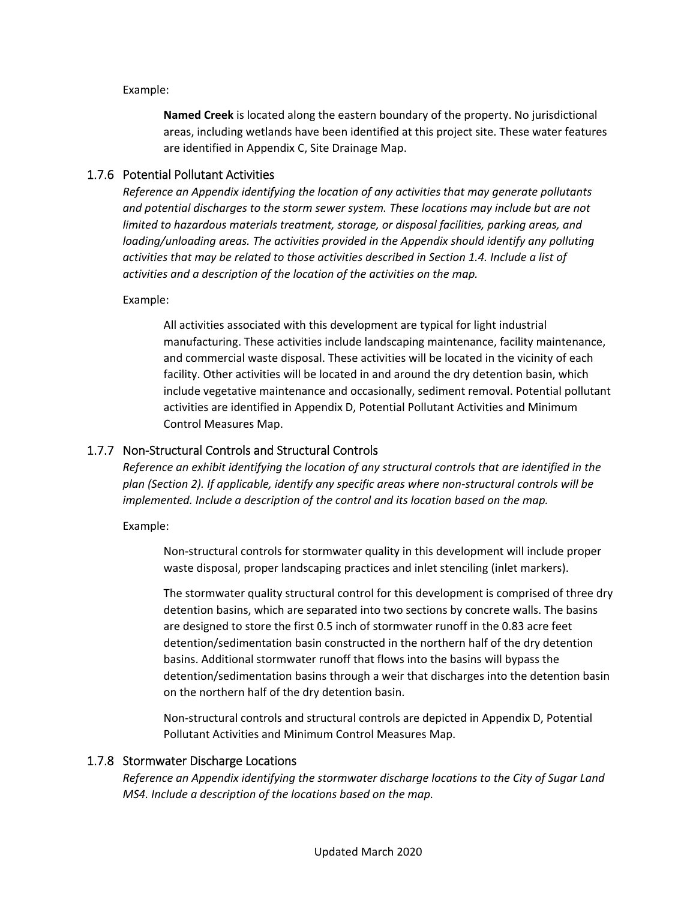Example:

**Named Creek** is located along the eastern boundary of the property. No jurisdictional areas, including wetlands have been identified at this project site. These water features are identified in Appendix C, Site Drainage Map.

### 1.7.6 Potential Pollutant Activities

*Reference an Appendix identifying the location of any activities that may generate pollutants and potential discharges to the storm sewer system. These locations may include but are not limited to hazardous materials treatment, storage, or disposal facilities, parking areas, and loading/unloading areas. The activities provided in the Appendix should identify any polluting activities that may be related to those activities described in Section 1.4. Include a list of activities and a description of the location of the activities on the map.*

Example:

All activities associated with this development are typical for light industrial manufacturing. These activities include landscaping maintenance, facility maintenance, and commercial waste disposal. These activities will be located in the vicinity of each facility. Other activities will be located in and around the dry detention basin, which include vegetative maintenance and occasionally, sediment removal. Potential pollutant activities are identified in Appendix D, Potential Pollutant Activities and Minimum Control Measures Map.

### 1.7.7 Non‐Structural Controls and Structural Controls

*Reference an exhibit identifying the location of any structural controls that are identified in the plan (Section 2). If applicable, identify any specific areas where non‐structural controls will be implemented. Include a description of the control and its location based on the map.*

Example:

Non‐structural controls for stormwater quality in this development will include proper waste disposal, proper landscaping practices and inlet stenciling (inlet markers).

The stormwater quality structural control for this development is comprised of three dry detention basins, which are separated into two sections by concrete walls. The basins are designed to store the first 0.5 inch of stormwater runoff in the 0.83 acre feet detention/sedimentation basin constructed in the northern half of the dry detention basins. Additional stormwater runoff that flows into the basins will bypass the detention/sedimentation basins through a weir that discharges into the detention basin on the northern half of the dry detention basin.

Non‐structural controls and structural controls are depicted in Appendix D, Potential Pollutant Activities and Minimum Control Measures Map.

#### 1.7.8 Stormwater Discharge Locations

*Reference an Appendix identifying the stormwater discharge locations to the City of Sugar Land MS4. Include a description of the locations based on the map.*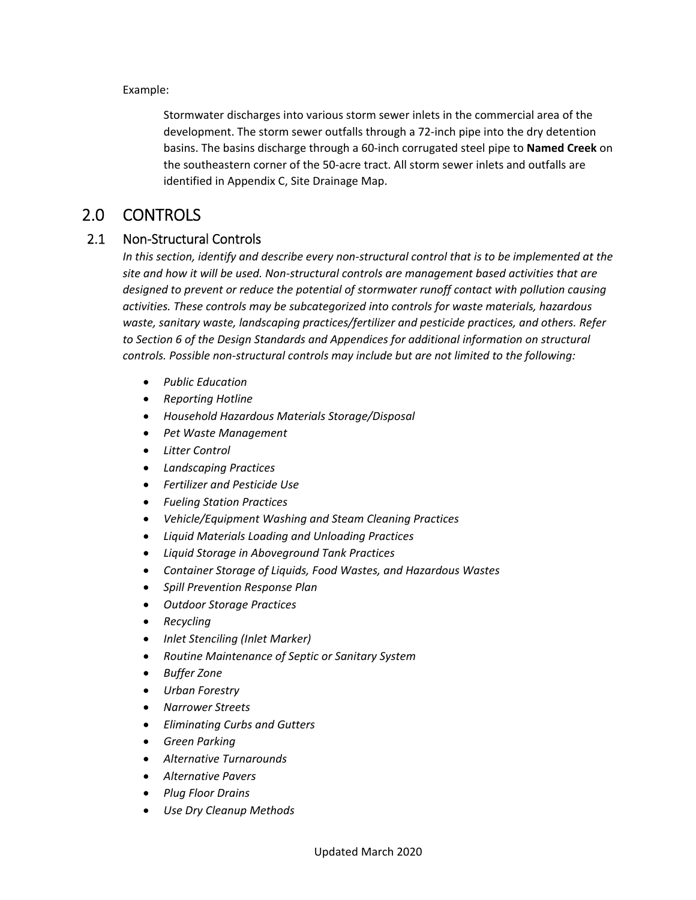Example:

Stormwater discharges into various storm sewer inlets in the commercial area of the development. The storm sewer outfalls through a 72‐inch pipe into the dry detention basins. The basins discharge through a 60‐inch corrugated steel pipe to **Named Creek** on the southeastern corner of the 50‐acre tract. All storm sewer inlets and outfalls are identified in Appendix C, Site Drainage Map.

### 2.0 CONTROLS

### 2.1 Non‐Structural Controls

In this section, identify and describe every non-structural control that is to be implemented at the *site and how it will be used. Non‐structural controls are management based activities that are designed to prevent or reduce the potential of stormwater runoff contact with pollution causing activities. These controls may be subcategorized into controls for waste materials, hazardous waste, sanitary waste, landscaping practices/fertilizer and pesticide practices, and others. Refer to Section 6 of the Design Standards and Appendices for additional information on structural controls. Possible non‐structural controls may include but are not limited to the following:*

- *Public Education*
- *Reporting Hotline*
- *Household Hazardous Materials Storage/Disposal*
- *Pet Waste Management*
- *Litter Control*
- *Landscaping Practices*
- *Fertilizer and Pesticide Use*
- *Fueling Station Practices*
- *Vehicle/Equipment Washing and Steam Cleaning Practices*
- *Liquid Materials Loading and Unloading Practices*
- *Liquid Storage in Aboveground Tank Practices*
- *Container Storage of Liquids, Food Wastes, and Hazardous Wastes*
- *Spill Prevention Response Plan*
- *Outdoor Storage Practices*
- *Recycling*
- *Inlet Stenciling (Inlet Marker)*
- *Routine Maintenance of Septic or Sanitary System*
- *Buffer Zone*
- *Urban Forestry*
- *Narrower Streets*
- *Eliminating Curbs and Gutters*
- *Green Parking*
- *Alternative Turnarounds*
- *Alternative Pavers*
- *Plug Floor Drains*
- *Use Dry Cleanup Methods*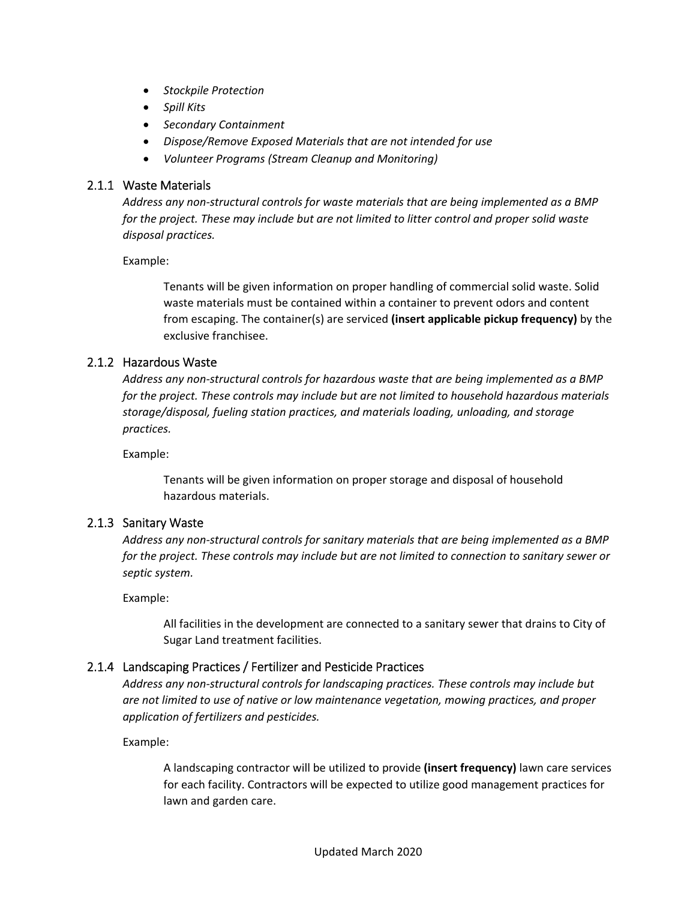- *Stockpile Protection*
- *Spill Kits*
- *Secondary Containment*
- *Dispose/Remove Exposed Materials that are not intended for use*
- *Volunteer Programs (Stream Cleanup and Monitoring)*

#### 2.1.1 Waste Materials

*Address any non‐structural controls for waste materials that are being implemented as a BMP for the project. These may include but are not limited to litter control and proper solid waste disposal practices.*

Example:

Tenants will be given information on proper handling of commercial solid waste. Solid waste materials must be contained within a container to prevent odors and content from escaping. The container(s) are serviced **(insert applicable pickup frequency)** by the exclusive franchisee.

### 2.1.2 Hazardous Waste

*Address any non‐structural controls for hazardous waste that are being implemented as a BMP for the project. These controls may include but are not limited to household hazardous materials storage/disposal, fueling station practices, and materials loading, unloading, and storage practices.*

Example:

Tenants will be given information on proper storage and disposal of household hazardous materials.

### 2.1.3 Sanitary Waste

*Address any non‐structural controls for sanitary materials that are being implemented as a BMP for the project. These controls may include but are not limited to connection to sanitary sewer or septic system.*

Example:

All facilities in the development are connected to a sanitary sewer that drains to City of Sugar Land treatment facilities.

### 2.1.4 Landscaping Practices / Fertilizer and Pesticide Practices

*Address any non‐structural controls for landscaping practices. These controls may include but are not limited to use of native or low maintenance vegetation, mowing practices, and proper application of fertilizers and pesticides.*

Example:

A landscaping contractor will be utilized to provide **(insert frequency)** lawn care services for each facility. Contractors will be expected to utilize good management practices for lawn and garden care.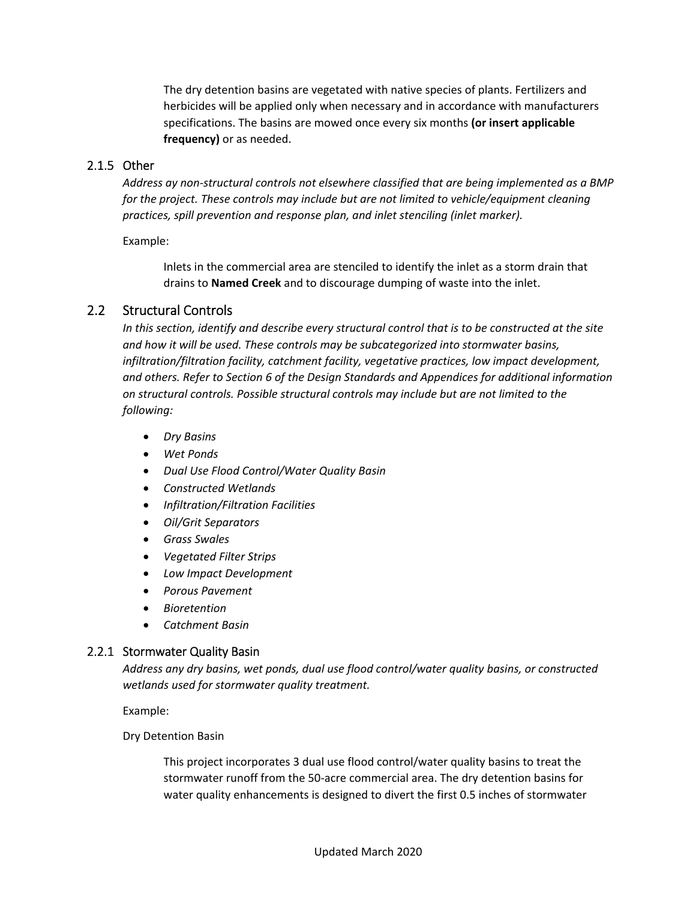The dry detention basins are vegetated with native species of plants. Fertilizers and herbicides will be applied only when necessary and in accordance with manufacturers specifications. The basins are mowed once every six months **(or insert applicable frequency)** or as needed.

### 2.1.5 Other

*Address ay non‐structural controls not elsewhere classified that are being implemented as a BMP for the project. These controls may include but are not limited to vehicle/equipment cleaning practices, spill prevention and response plan, and inlet stenciling (inlet marker).*

Example:

Inlets in the commercial area are stenciled to identify the inlet as a storm drain that drains to **Named Creek** and to discourage dumping of waste into the inlet.

### 2.2 Structural Controls

*In this section, identify and describe every structural control that is to be constructed at the site and how it will be used. These controls may be subcategorized into stormwater basins, infiltration/filtration facility, catchment facility, vegetative practices, low impact development, and others. Refer to Section 6 of the Design Standards and Appendices for additional information on structural controls. Possible structural controls may include but are not limited to the following:*

- *Dry Basins*
- *Wet Ponds*
- *Dual Use Flood Control/Water Quality Basin*
- *Constructed Wetlands*
- *Infiltration/Filtration Facilities*
- *Oil/Grit Separators*
- *Grass Swales*
- *Vegetated Filter Strips*
- *Low Impact Development*
- *Porous Pavement*
- *Bioretention*
- *Catchment Basin*

#### 2.2.1 Stormwater Quality Basin

*Address any dry basins, wet ponds, dual use flood control/water quality basins, or constructed wetlands used for stormwater quality treatment.*

Example:

Dry Detention Basin

This project incorporates 3 dual use flood control/water quality basins to treat the stormwater runoff from the 50‐acre commercial area. The dry detention basins for water quality enhancements is designed to divert the first 0.5 inches of stormwater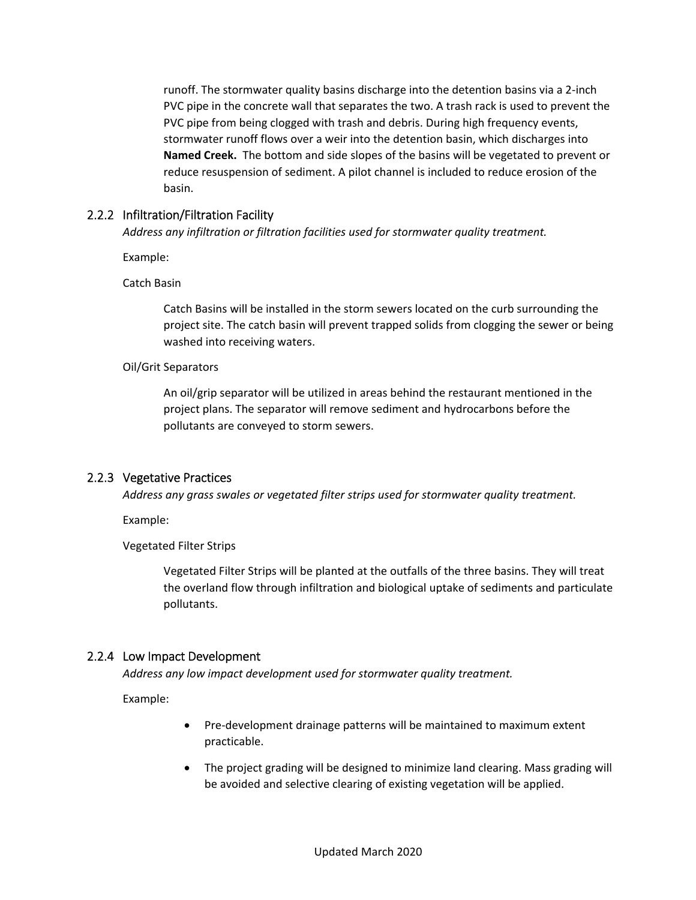runoff. The stormwater quality basins discharge into the detention basins via a 2‐inch PVC pipe in the concrete wall that separates the two. A trash rack is used to prevent the PVC pipe from being clogged with trash and debris. During high frequency events, stormwater runoff flows over a weir into the detention basin, which discharges into **Named Creek.** The bottom and side slopes of the basins will be vegetated to prevent or reduce resuspension of sediment. A pilot channel is included to reduce erosion of the basin.

### 2.2.2 Infiltration/Filtration Facility

*Address any infiltration or filtration facilities used for stormwater quality treatment.*

Example:

Catch Basin

Catch Basins will be installed in the storm sewers located on the curb surrounding the project site. The catch basin will prevent trapped solids from clogging the sewer or being washed into receiving waters.

### Oil/Grit Separators

An oil/grip separator will be utilized in areas behind the restaurant mentioned in the project plans. The separator will remove sediment and hydrocarbons before the pollutants are conveyed to storm sewers.

### 2.2.3 Vegetative Practices

*Address any grass swales or vegetated filter strips used for stormwater quality treatment.*

Example:

Vegetated Filter Strips

Vegetated Filter Strips will be planted at the outfalls of the three basins. They will treat the overland flow through infiltration and biological uptake of sediments and particulate pollutants.

### 2.2.4 Low Impact Development

*Address any low impact development used for stormwater quality treatment.*

Example:

- Pre-development drainage patterns will be maintained to maximum extent practicable.
- The project grading will be designed to minimize land clearing. Mass grading will be avoided and selective clearing of existing vegetation will be applied.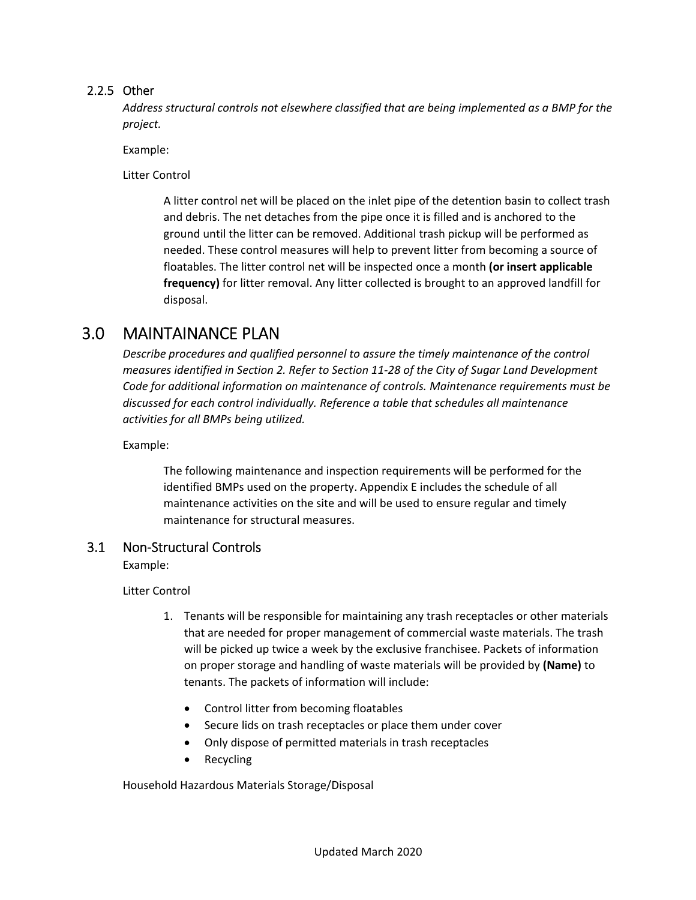### 2.2.5 Other

*Address structural controls not elsewhere classified that are being implemented as a BMP for the project.*

Example:

Litter Control

A litter control net will be placed on the inlet pipe of the detention basin to collect trash and debris. The net detaches from the pipe once it is filled and is anchored to the ground until the litter can be removed. Additional trash pickup will be performed as needed. These control measures will help to prevent litter from becoming a source of floatables. The litter control net will be inspected once a month **(or insert applicable frequency)** for litter removal. Any litter collected is brought to an approved landfill for disposal.

### 3.0 MAINTAINANCE PLAN

*Describe procedures and qualified personnel to assure the timely maintenance of the control measures identified in Section 2. Refer to Section 11‐28 of the City of Sugar Land Development Code for additional information on maintenance of controls. Maintenance requirements must be discussed for each control individually. Reference a table that schedules all maintenance activities for all BMPs being utilized.*

Example:

The following maintenance and inspection requirements will be performed for the identified BMPs used on the property. Appendix E includes the schedule of all maintenance activities on the site and will be used to ensure regular and timely maintenance for structural measures.

### 3.1 Non‐Structural Controls

Example:

Litter Control

- 1. Tenants will be responsible for maintaining any trash receptacles or other materials that are needed for proper management of commercial waste materials. The trash will be picked up twice a week by the exclusive franchisee. Packets of information on proper storage and handling of waste materials will be provided by **(Name)** to tenants. The packets of information will include:
	- Control litter from becoming floatables
	- Secure lids on trash receptacles or place them under cover
	- Only dispose of permitted materials in trash receptacles
	- Recycling

Household Hazardous Materials Storage/Disposal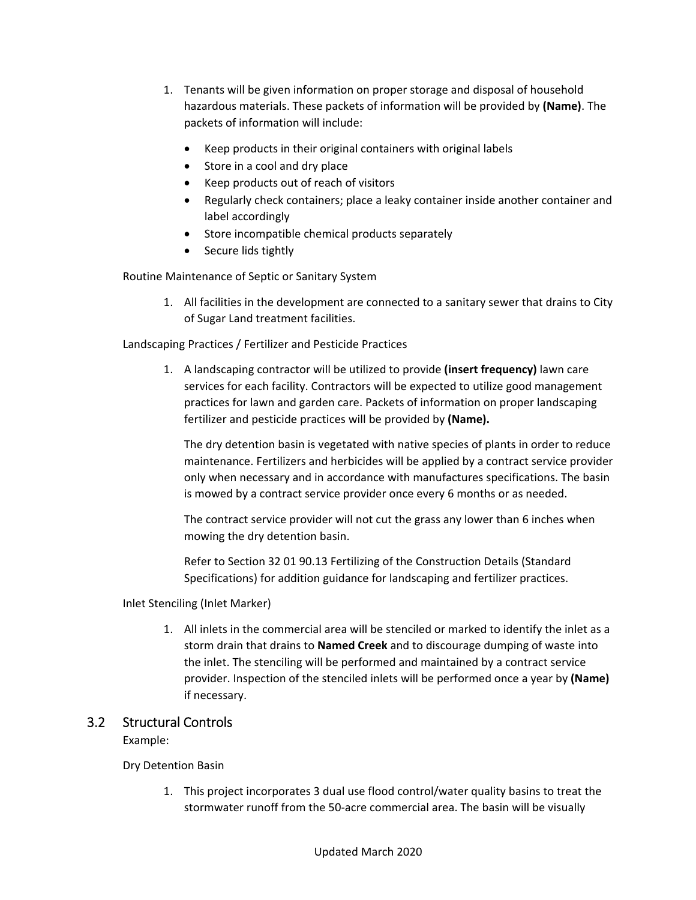- 1. Tenants will be given information on proper storage and disposal of household hazardous materials. These packets of information will be provided by **(Name)**. The packets of information will include:
	- Keep products in their original containers with original labels
	- Store in a cool and dry place
	- Keep products out of reach of visitors
	- Regularly check containers; place a leaky container inside another container and label accordingly
	- Store incompatible chemical products separately
	- Secure lids tightly

Routine Maintenance of Septic or Sanitary System

1. All facilities in the development are connected to a sanitary sewer that drains to City of Sugar Land treatment facilities.

Landscaping Practices / Fertilizer and Pesticide Practices

1. A landscaping contractor will be utilized to provide **(insert frequency)** lawn care services for each facility. Contractors will be expected to utilize good management practices for lawn and garden care. Packets of information on proper landscaping fertilizer and pesticide practices will be provided by **(Name).**

The dry detention basin is vegetated with native species of plants in order to reduce maintenance. Fertilizers and herbicides will be applied by a contract service provider only when necessary and in accordance with manufactures specifications. The basin is mowed by a contract service provider once every 6 months or as needed.

The contract service provider will not cut the grass any lower than 6 inches when mowing the dry detention basin.

Refer to Section 32 01 90.13 Fertilizing of the Construction Details (Standard Specifications) for addition guidance for landscaping and fertilizer practices.

Inlet Stenciling (Inlet Marker)

1. All inlets in the commercial area will be stenciled or marked to identify the inlet as a storm drain that drains to **Named Creek** and to discourage dumping of waste into the inlet. The stenciling will be performed and maintained by a contract service provider. Inspection of the stenciled inlets will be performed once a year by **(Name)** if necessary.

### 3.2 Structural Controls

Example:

Dry Detention Basin

1. This project incorporates 3 dual use flood control/water quality basins to treat the stormwater runoff from the 50‐acre commercial area. The basin will be visually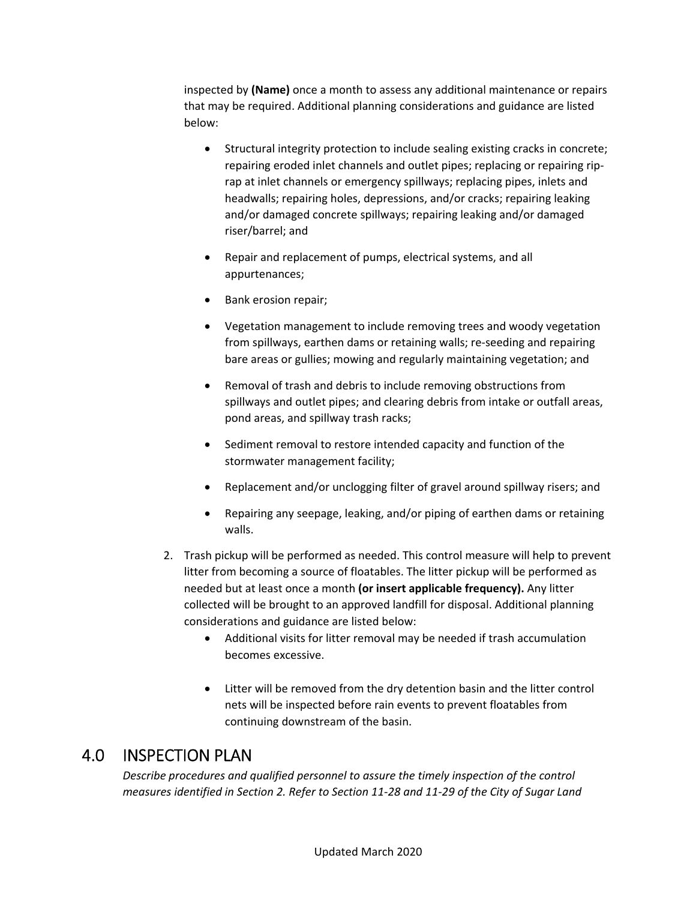inspected by **(Name)** once a month to assess any additional maintenance or repairs that may be required. Additional planning considerations and guidance are listed below:

- Structural integrity protection to include sealing existing cracks in concrete; repairing eroded inlet channels and outlet pipes; replacing or repairing rip‐ rap at inlet channels or emergency spillways; replacing pipes, inlets and headwalls; repairing holes, depressions, and/or cracks; repairing leaking and/or damaged concrete spillways; repairing leaking and/or damaged riser/barrel; and
- Repair and replacement of pumps, electrical systems, and all appurtenances;
- Bank erosion repair;
- Vegetation management to include removing trees and woody vegetation from spillways, earthen dams or retaining walls; re‐seeding and repairing bare areas or gullies; mowing and regularly maintaining vegetation; and
- Removal of trash and debris to include removing obstructions from spillways and outlet pipes; and clearing debris from intake or outfall areas, pond areas, and spillway trash racks;
- Sediment removal to restore intended capacity and function of the stormwater management facility;
- Replacement and/or unclogging filter of gravel around spillway risers; and
- Repairing any seepage, leaking, and/or piping of earthen dams or retaining walls.
- 2. Trash pickup will be performed as needed. This control measure will help to prevent litter from becoming a source of floatables. The litter pickup will be performed as needed but at least once a month **(or insert applicable frequency).** Any litter collected will be brought to an approved landfill for disposal. Additional planning considerations and guidance are listed below:
	- Additional visits for litter removal may be needed if trash accumulation becomes excessive.
	- Litter will be removed from the dry detention basin and the litter control nets will be inspected before rain events to prevent floatables from continuing downstream of the basin.

### 4.0 INSPECTION PLAN

*Describe procedures and qualified personnel to assure the timely inspection of the control* measures identified in Section 2. Refer to Section 11-28 and 11-29 of the City of Sugar Land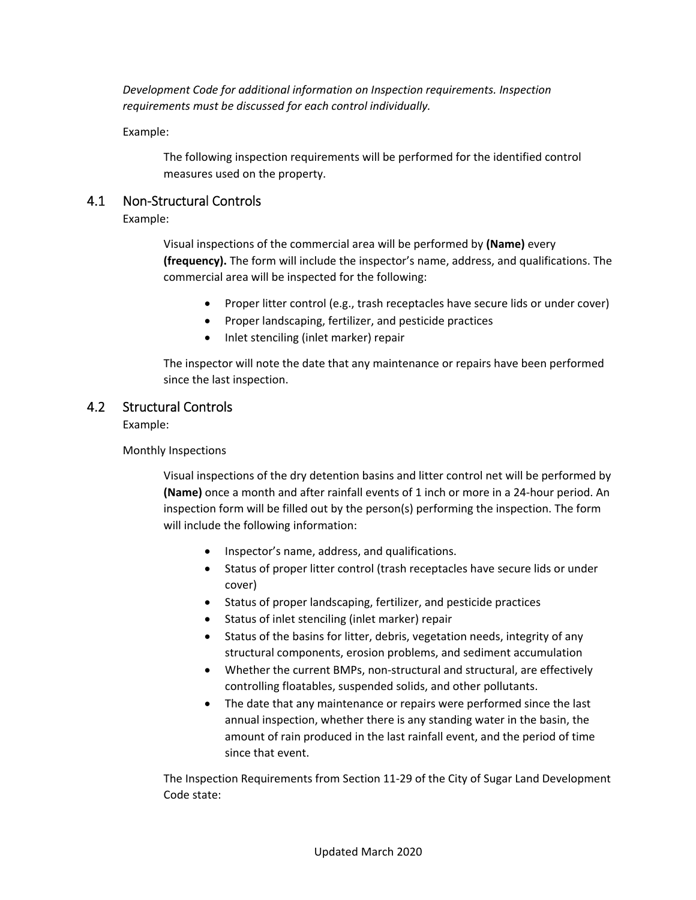*Development Code for additional information on Inspection requirements. Inspection requirements must be discussed for each control individually.*

Example:

The following inspection requirements will be performed for the identified control measures used on the property.

### 4.1 Non‐Structural Controls

Example:

Visual inspections of the commercial area will be performed by **(Name)** every **(frequency).** The form will include the inspector's name, address, and qualifications. The commercial area will be inspected for the following:

- Proper litter control (e.g., trash receptacles have secure lids or under cover)
- Proper landscaping, fertilizer, and pesticide practices
- Inlet stenciling (inlet marker) repair

The inspector will note the date that any maintenance or repairs have been performed since the last inspection.

### 4.2 Structural Controls

Example:

Monthly Inspections

Visual inspections of the dry detention basins and litter control net will be performed by **(Name)** once a month and after rainfall events of 1 inch or more in a 24‐hour period. An inspection form will be filled out by the person(s) performing the inspection. The form will include the following information:

- Inspector's name, address, and qualifications.
- Status of proper litter control (trash receptacles have secure lids or under cover)
- Status of proper landscaping, fertilizer, and pesticide practices
- Status of inlet stenciling (inlet marker) repair
- Status of the basins for litter, debris, vegetation needs, integrity of any structural components, erosion problems, and sediment accumulation
- Whether the current BMPs, non-structural and structural, are effectively controlling floatables, suspended solids, and other pollutants.
- The date that any maintenance or repairs were performed since the last annual inspection, whether there is any standing water in the basin, the amount of rain produced in the last rainfall event, and the period of time since that event.

The Inspection Requirements from Section 11‐29 of the City of Sugar Land Development Code state: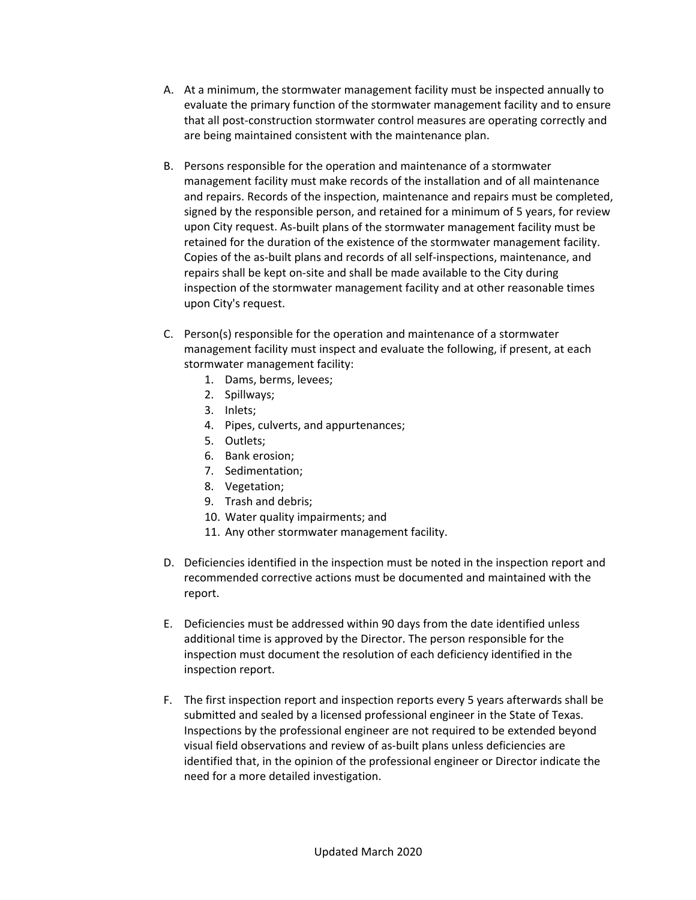- A. At a minimum, the stormwater management facility must be inspected annually to evaluate the primary function of the stormwater management facility and to ensure that all post‐construction stormwater control measures are operating correctly and are being maintained consistent with the maintenance plan.
- B. Persons responsible for the operation and maintenance of a stormwater management facility must make records of the installation and of all maintenance and repairs. Records of the inspection, maintenance and repairs must be completed, signed by the responsible person, and retained for a minimum of 5 years, for review upon City request. As‐built plans of the stormwater management facility must be retained for the duration of the existence of the stormwater management facility. Copies of the as‐built plans and records of all self‐inspections, maintenance, and repairs shall be kept on‐site and shall be made available to the City during inspection of the stormwater management facility and at other reasonable times upon City's request.
- C. Person(s) responsible for the operation and maintenance of a stormwater management facility must inspect and evaluate the following, if present, at each stormwater management facility:
	- 1. Dams, berms, levees;
	- 2. Spillways;
	- 3. Inlets;
	- 4. Pipes, culverts, and appurtenances;
	- 5. Outlets;
	- 6. Bank erosion;
	- 7. Sedimentation;
	- 8. Vegetation;
	- 9. Trash and debris;
	- 10. Water quality impairments; and
	- 11. Any other stormwater management facility.
- D. Deficiencies identified in the inspection must be noted in the inspection report and recommended corrective actions must be documented and maintained with the report.
- E. Deficiencies must be addressed within 90 days from the date identified unless additional time is approved by the Director. The person responsible for the inspection must document the resolution of each deficiency identified in the inspection report.
- F. The first inspection report and inspection reports every 5 years afterwards shall be submitted and sealed by a licensed professional engineer in the State of Texas. Inspections by the professional engineer are not required to be extended beyond visual field observations and review of as‐built plans unless deficiencies are identified that, in the opinion of the professional engineer or Director indicate the need for a more detailed investigation.